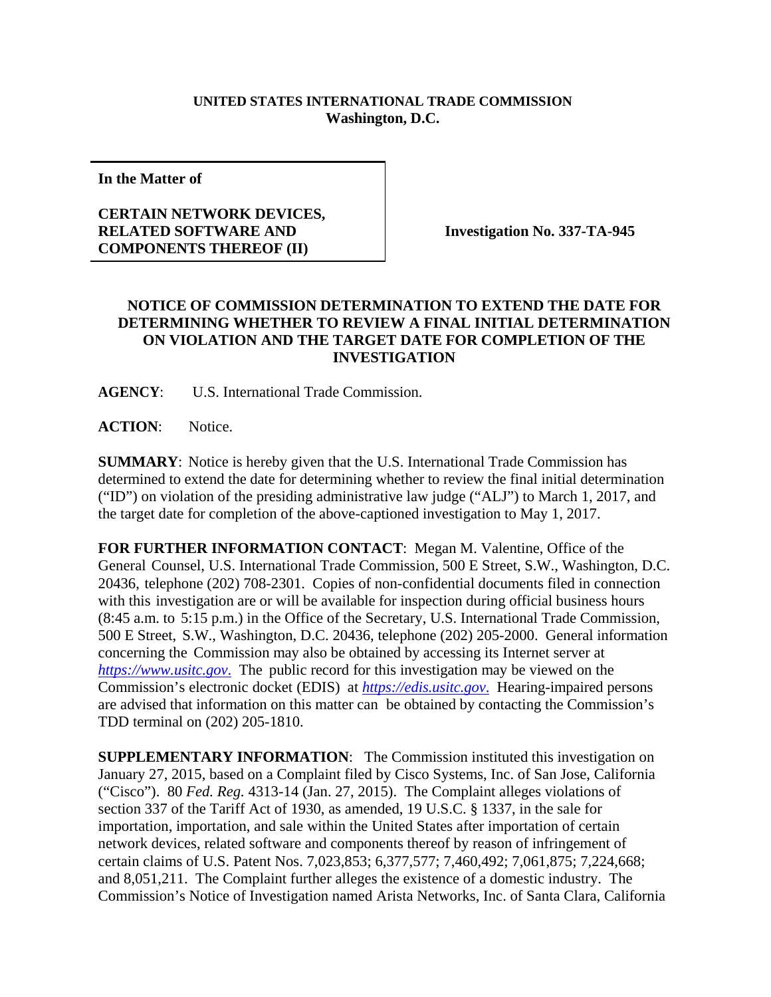## **UNITED STATES INTERNATIONAL TRADE COMMISSION Washington, D.C.**

**In the Matter of**

## **CERTAIN NETWORK DEVICES, RELATED SOFTWARE AND COMPONENTS THEREOF (II)**

**Investigation No. 337-TA-945**

## **NOTICE OF COMMISSION DETERMINATION TO EXTEND THE DATE FOR DETERMINING WHETHER TO REVIEW A FINAL INITIAL DETERMINATION ON VIOLATION AND THE TARGET DATE FOR COMPLETION OF THE INVESTIGATION**

**AGENCY**: U.S. International Trade Commission.

**ACTION**: Notice.

**SUMMARY**: Notice is hereby given that the U.S. International Trade Commission has determined to extend the date for determining whether to review the final initial determination ("ID") on violation of the presiding administrative law judge ("ALJ") to March 1, 2017, and the target date for completion of the above-captioned investigation to May 1, 2017.

**FOR FURTHER INFORMATION CONTACT**: Megan M. Valentine, Office of the General Counsel, U.S. International Trade Commission, 500 E Street, S.W., Washington, D.C. 20436, telephone (202) 708-2301. Copies of non-confidential documents filed in connection with this investigation are or will be available for inspection during official business hours (8:45 a.m. to 5:15 p.m.) in the Office of the Secretary, U.S. International Trade Commission, 500 E Street, S.W., Washington, D.C. 20436, telephone (202) 205-2000. General information concerning the Commission may also be obtained by accessing its Internet server at *https://www.usitc.gov*. The public record for this investigation may be viewed on the Commission's electronic docket (EDIS) at *https://edis.usitc.gov*. Hearing-impaired persons are advised that information on this matter can be obtained by contacting the Commission's TDD terminal on (202) 205-1810.

**SUPPLEMENTARY INFORMATION:** The Commission instituted this investigation on January 27, 2015, based on a Complaint filed by Cisco Systems, Inc. of San Jose, California ("Cisco"). 80 *Fed. Reg.* 4313-14 (Jan. 27, 2015). The Complaint alleges violations of section 337 of the Tariff Act of 1930, as amended, 19 U.S.C. § 1337, in the sale for importation, importation, and sale within the United States after importation of certain network devices, related software and components thereof by reason of infringement of certain claims of U.S. Patent Nos. 7,023,853; 6,377,577; 7,460,492; 7,061,875; 7,224,668; and 8,051,211. The Complaint further alleges the existence of a domestic industry. The Commission's Notice of Investigation named Arista Networks, Inc. of Santa Clara, California